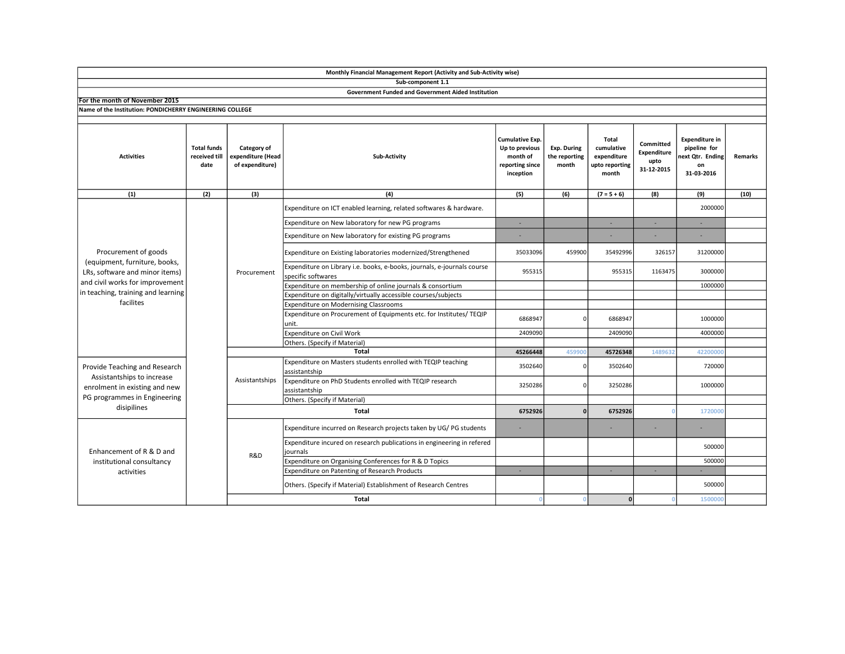|                                                                                                                                                                               |                                             |                                                     | Sub-component 1.1                                                                             |                                                                                      |                                       |                                                                      |                                                       |                                                                               |                |
|-------------------------------------------------------------------------------------------------------------------------------------------------------------------------------|---------------------------------------------|-----------------------------------------------------|-----------------------------------------------------------------------------------------------|--------------------------------------------------------------------------------------|---------------------------------------|----------------------------------------------------------------------|-------------------------------------------------------|-------------------------------------------------------------------------------|----------------|
|                                                                                                                                                                               |                                             |                                                     | <b>Government Funded and Government Aided Institution</b>                                     |                                                                                      |                                       |                                                                      |                                                       |                                                                               |                |
| For the month of November 2015                                                                                                                                                |                                             |                                                     |                                                                                               |                                                                                      |                                       |                                                                      |                                                       |                                                                               |                |
| Name of the Institution: PONDICHERRY ENGINEERING COLLEGE                                                                                                                      |                                             |                                                     |                                                                                               |                                                                                      |                                       |                                                                      |                                                       |                                                                               |                |
|                                                                                                                                                                               |                                             |                                                     |                                                                                               |                                                                                      |                                       |                                                                      |                                                       |                                                                               |                |
| <b>Activities</b>                                                                                                                                                             | <b>Total funds</b><br>received till<br>date | Category of<br>expenditure (Head<br>of expenditure) | Sub-Activity                                                                                  | <b>Cumulative Exp.</b><br>Up to previous<br>month of<br>reporting since<br>inception | Exp. During<br>the reporting<br>month | <b>Total</b><br>cumulative<br>expenditure<br>upto reporting<br>month | Committed<br><b>Expenditure</b><br>upto<br>31-12-2015 | <b>Expenditure in</b><br>pipeline for<br>next Qtr. Ending<br>on<br>31-03-2016 | <b>Remarks</b> |
| (1)                                                                                                                                                                           | (2)                                         | (3)                                                 | (4)                                                                                           | (5)                                                                                  | (6)                                   | $(7 = 5 + 6)$                                                        | (8)                                                   | (9)                                                                           | (10)           |
|                                                                                                                                                                               |                                             | Procurement                                         | Expenditure on ICT enabled learning, related softwares & hardware.                            |                                                                                      |                                       |                                                                      |                                                       | 2000000                                                                       |                |
| Procurement of goods<br>(equipment, furniture, books,<br>LRs, software and minor items)<br>and civil works for improvement<br>in teaching, training and learning<br>facilites |                                             |                                                     | Expenditure on New laboratory for new PG programs                                             | $\sim$                                                                               |                                       | $\sim$                                                               | ÷.                                                    | ×                                                                             |                |
|                                                                                                                                                                               |                                             |                                                     | Expenditure on New laboratory for existing PG programs                                        |                                                                                      |                                       | ٠                                                                    |                                                       |                                                                               |                |
|                                                                                                                                                                               |                                             |                                                     | Expenditure on Existing laboratories modernized/Strengthened                                  | 35033096                                                                             | 459900                                | 35492996                                                             | 326157                                                | 31200000                                                                      |                |
|                                                                                                                                                                               |                                             |                                                     | Expenditure on Library i.e. books, e-books, journals, e-journals course<br>specific softwares | 955315                                                                               |                                       | 955315                                                               | 1163475                                               | 3000000                                                                       |                |
|                                                                                                                                                                               |                                             |                                                     | Expenditure on membership of online journals & consortium                                     |                                                                                      |                                       |                                                                      |                                                       | 1000000                                                                       |                |
|                                                                                                                                                                               |                                             |                                                     | Expenditure on digitally/virtually accessible courses/subjects                                |                                                                                      |                                       |                                                                      |                                                       |                                                                               |                |
|                                                                                                                                                                               |                                             |                                                     | Expenditure on Modernising Classrooms                                                         |                                                                                      |                                       |                                                                      |                                                       |                                                                               |                |
|                                                                                                                                                                               |                                             |                                                     | Expenditure on Procurement of Equipments etc. for Institutes/ TEQIP<br>unit.                  | 6868947                                                                              | $\Omega$                              | 6868947                                                              |                                                       | 1000000                                                                       |                |
|                                                                                                                                                                               |                                             |                                                     | Expenditure on Civil Work                                                                     | 2409090                                                                              |                                       | 2409090                                                              |                                                       | 4000000                                                                       |                |
|                                                                                                                                                                               |                                             |                                                     | Others. (Specify if Material)                                                                 |                                                                                      |                                       |                                                                      |                                                       |                                                                               |                |
|                                                                                                                                                                               |                                             |                                                     | <b>Total</b>                                                                                  | 45266448                                                                             | 459900                                | 45726348                                                             | 1489632                                               | 42200000                                                                      |                |
| Provide Teaching and Research<br>Assistantships to increase<br>enrolment in existing and new<br>PG programmes in Engineering                                                  |                                             | Assistantships                                      | Expenditure on Masters students enrolled with TEQIP teaching<br>assistantship                 | 3502640                                                                              | $\Omega$                              | 3502640                                                              |                                                       | 720000                                                                        |                |
|                                                                                                                                                                               |                                             |                                                     | Expenditure on PhD Students enrolled with TEQIP research<br>assistantship                     | 3250286                                                                              | $\Omega$                              | 3250286                                                              |                                                       | 1000000                                                                       |                |
|                                                                                                                                                                               |                                             |                                                     | Others. (Specify if Material)                                                                 |                                                                                      |                                       |                                                                      |                                                       |                                                                               |                |
| disipilines                                                                                                                                                                   |                                             | <b>Total</b>                                        |                                                                                               | 6752926                                                                              |                                       | 6752926                                                              |                                                       | 1720000                                                                       |                |
|                                                                                                                                                                               |                                             |                                                     | Expenditure incurred on Research projects taken by UG/PG students                             | ٠                                                                                    |                                       |                                                                      |                                                       |                                                                               |                |
| Enhancement of R & D and<br>institutional consultancy<br>activities                                                                                                           |                                             | R&D                                                 | Expenditure incured on research publications in engineering in refered<br>journals            |                                                                                      |                                       |                                                                      |                                                       | 500000                                                                        |                |
|                                                                                                                                                                               |                                             |                                                     | Expenditure on Organising Conferences for R & D Topics                                        |                                                                                      |                                       |                                                                      |                                                       | 500000                                                                        |                |
|                                                                                                                                                                               |                                             |                                                     | Expenditure on Patenting of Research Products                                                 | $\sim$                                                                               |                                       | ×.                                                                   | ×.                                                    |                                                                               |                |
|                                                                                                                                                                               |                                             |                                                     | Others. (Specify if Material) Establishment of Research Centres                               |                                                                                      |                                       |                                                                      |                                                       | 500000                                                                        |                |
|                                                                                                                                                                               |                                             |                                                     | <b>Total</b>                                                                                  | $\mathbf{0}$                                                                         | $\Omega$                              | $\mathbf{0}$                                                         |                                                       | 1500000                                                                       |                |

Monthly Financial Management Report (Activity and Sub-Activity wise)